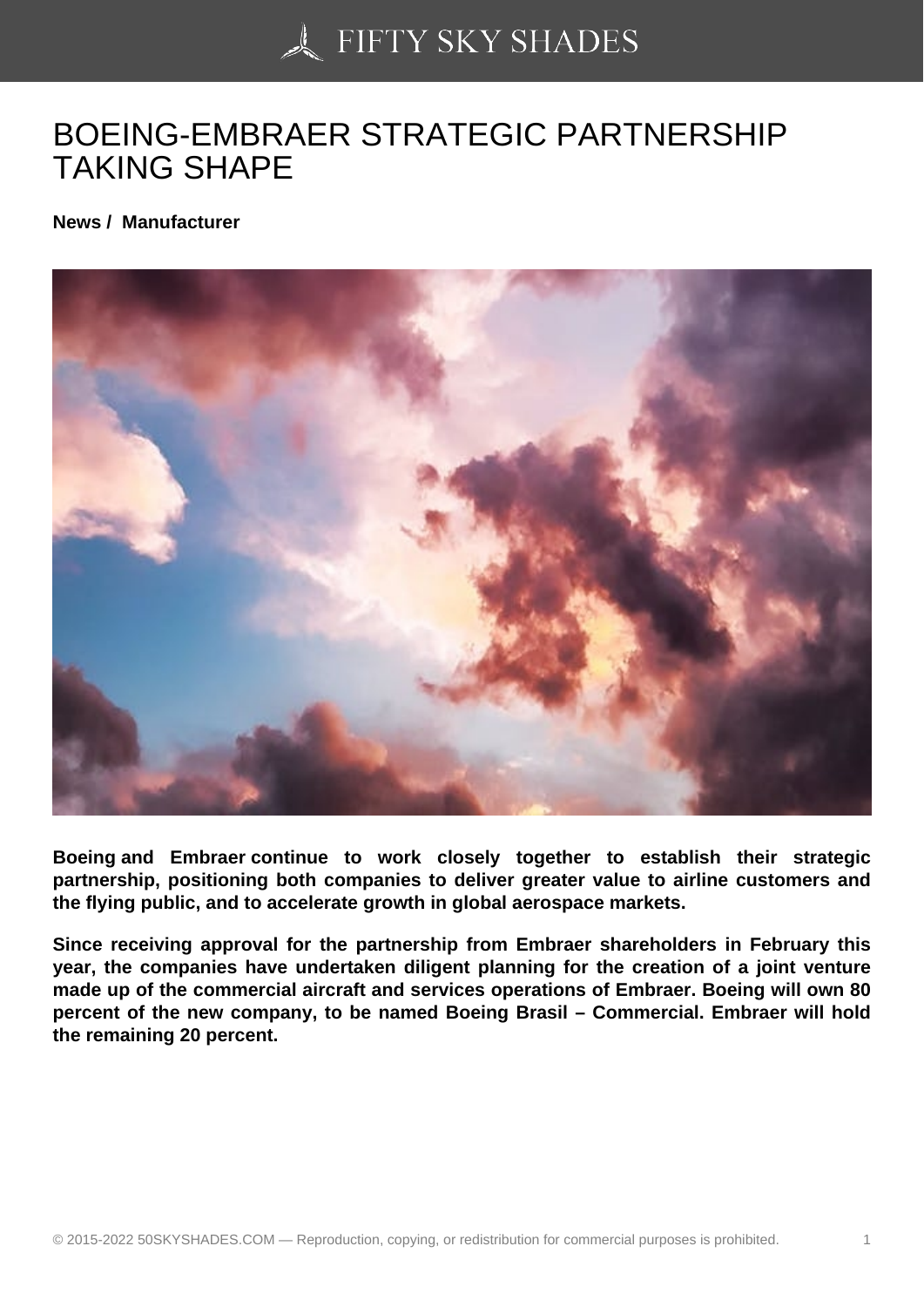## [BOEING-EMBRAER S](https://50skyshades.com)TRATEGIC PARTNERSHIP TAKING SHAPE

News / Manufacturer

Boeing and Embraer continue to work closely together to establish their strategic partnership, positioning both companies to deliver greater value to airline customers and the flying public, and to accelerate growth in global aerospace markets.

Since receiving approval for the partnership from Embraer shareholders in February this year, the companies have undertaken diligent planning for the creation of a joint venture made up of the commercial aircraft and services operations of Embraer. Boeing will own 80 percent of the new company, to be named Boeing Brasil – Commercial. Embraer will hold the remaining 20 percent.